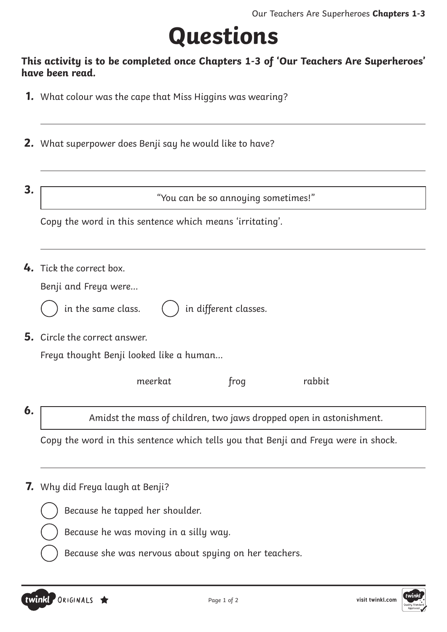## **Questions**

#### **This activity is to be completed once Chapters 1-3 of 'Our Teachers Are Superheroes' have been read.**

- **1.** What colour was the cape that Miss Higgins was wearing?
- **2.** What superpower does Benji say he would like to have?
- 

**3.**  $\begin{array}{r} \hline \text{``You can be so annual sometimes!''} \end{array}$ 

Copy the word in this sentence which means 'irritating'.

**4.** Tick the correct box.

|  |  |  | Benji and Freya were |
|--|--|--|----------------------|
|--|--|--|----------------------|

in the same class.

in different classes.

**5.** Circle the correct answer.

Freya thought Benji looked like a human…

meerkat frog rabbit

**6.** Amidst the mass of children, two jaws dropped open in astonishment.

Copy the word in this sentence which tells you that Benji and Freya were in shock.

**7.** Why did Freya laugh at Benji?



Because he tapped her shoulder.

Because he was moving in a silly way.

Because she was nervous about spying on her teachers.

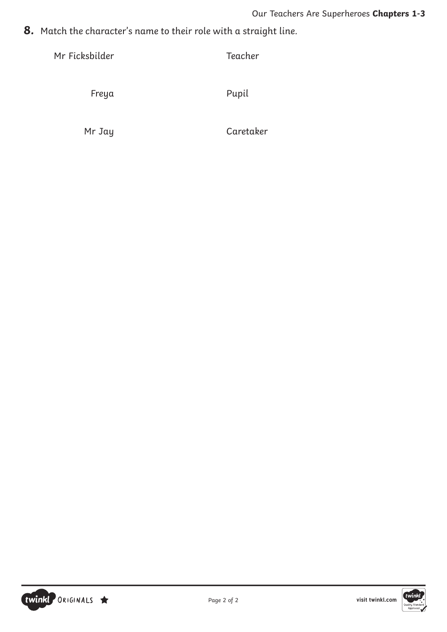**8.** Match the character's name to their role with a straight line.

Mr Ficksbilder Teacher

Freya Pupil

Mr Jay Caretaker



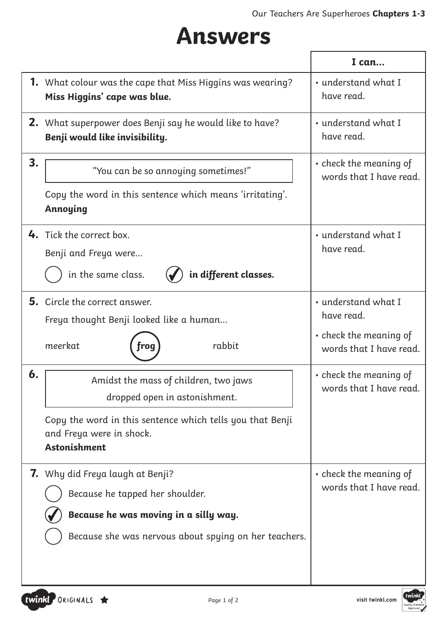### **Answers**

|    |                                                                                                                                                                                        | I can                                                                                        |
|----|----------------------------------------------------------------------------------------------------------------------------------------------------------------------------------------|----------------------------------------------------------------------------------------------|
|    | <b>1.</b> What colour was the cape that Miss Higgins was wearing?<br>Miss Higgins' cape was blue.                                                                                      | • understand what I<br>have read.                                                            |
|    | 2. What superpower does Benji say he would like to have?<br>Benji would like invisibility.                                                                                             | • understand what I<br>have read.                                                            |
| 3. | "You can be so annoying sometimes!"<br>Copy the word in this sentence which means 'irritating'.<br>Annoying                                                                            | • check the meaning of<br>words that I have read.                                            |
|    | 4. Tick the correct box.<br>Benji and Freya were<br>in the same class.<br>in different classes.                                                                                        | • understand what I<br>have read.                                                            |
|    | 5. Circle the correct answer.<br>Freya thought Benji looked like a human<br>rabbit<br>meerkat<br>roa                                                                                   | • understand what I<br>have read.<br>$\cdot$ check the meaning of<br>words that I have read. |
| 6. | Amidst the mass of children, two jaws<br>dropped open in astonishment.<br>Copy the word in this sentence which tells you that Benji<br>and Freya were in shock.<br><b>Astonishment</b> | $\cdot$ check the meaning of<br>words that I have read.                                      |
|    | <b>7.</b> Why did Freya laugh at Benji?<br>Because he tapped her shoulder.<br>Because he was moving in a silly way.<br>Because she was nervous about spying on her teachers.           | • check the meaning of<br>words that I have read.                                            |

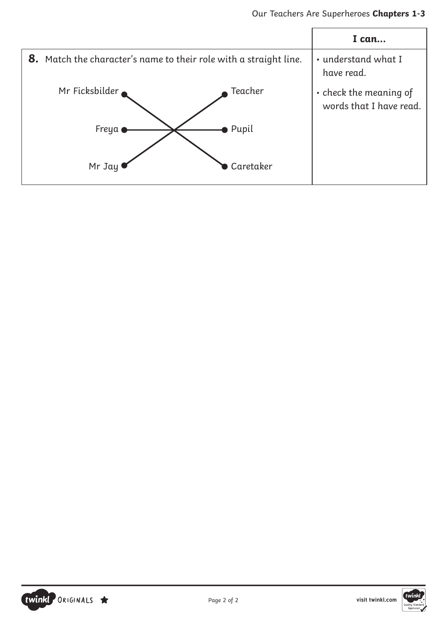



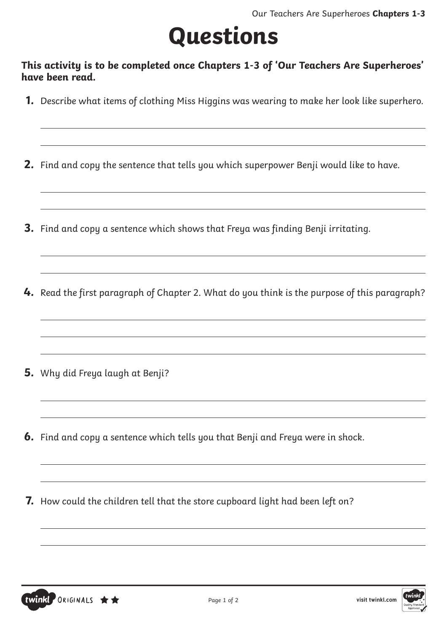# **Questions**

**This activity is to be completed once Chapters 1-3 of 'Our Teachers Are Superheroes' have been read.**

**1.** Describe what items of clothing Miss Higgins was wearing to make her look like superhero.

**2.** Find and copy the sentence that tells you which superpower Benji would like to have.

- **3.** Find and copy a sentence which shows that Freya was finding Benji irritating.
- **4.** Read the first paragraph of Chapter 2. What do you think is the purpose of this paragraph?

- **5.** Why did Freya laugh at Benji?
- **6.** Find and copy a sentence which tells you that Benji and Freya were in shock.
- **7.** How could the children tell that the store cupboard light had been left on?



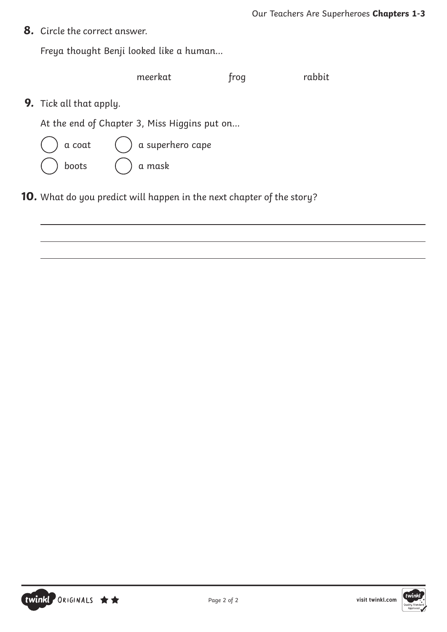**8.** Circle the correct answer.

Freya thought Benji looked like a human…

|                                | meerkat                                      | trog | rabbit |
|--------------------------------|----------------------------------------------|------|--------|
| <b>9.</b> Tick all that apply. |                                              |      |        |
|                                | At the end of Chapter 3, Miss Higgins put on |      |        |
| a coat                         | $\int$ a superhero cape                      |      |        |
| boots                          | a mask                                       |      |        |
|                                |                                              |      |        |

**10.** What do you predict will happen in the next chapter of the story?



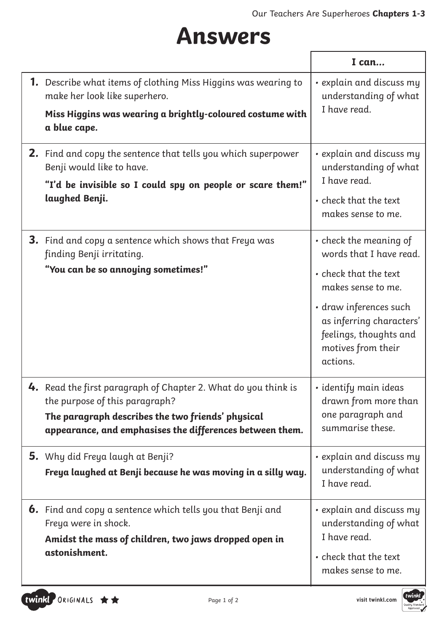### **Answers**

|                                                                                                                                                    | I can                                                                                                          |
|----------------------------------------------------------------------------------------------------------------------------------------------------|----------------------------------------------------------------------------------------------------------------|
| <b>1.</b> Describe what items of clothing Miss Higgins was wearing to<br>make her look like superhero.                                             | · explain and discuss my<br>understanding of what                                                              |
| Miss Higgins was wearing a brightly-coloured costume with<br>a blue cape.                                                                          | I have read.                                                                                                   |
| 2. Find and copy the sentence that tells you which superpower<br>Benji would like to have.                                                         | • explain and discuss my<br>understanding of what                                                              |
| "I'd be invisible so I could spy on people or scare them!"<br>laughed Benji.                                                                       | I have read.<br>• check that the text<br>makes sense to me.                                                    |
| <b>3.</b> Find and copy a sentence which shows that Freya was<br>finding Benji irritating.                                                         | • check the meaning of<br>words that I have read.                                                              |
| "You can be so annoying sometimes!"                                                                                                                | • check that the text<br>makes sense to me.                                                                    |
|                                                                                                                                                    | • draw inferences such<br>as inferring characters'<br>feelings, thoughts and<br>motives from their<br>actions. |
| 4. Read the first paragraph of Chapter 2. What do you think is<br>the purpose of this paragraph?                                                   | • identify main ideas<br>drawn from more than                                                                  |
| The paragraph describes the two friends' physical<br>appearance, and emphasises the differences between them.                                      | one paragraph and<br>summarise these.                                                                          |
| <b>5.</b> Why did Freya laugh at Benji?<br>Freya laughed at Benji because he was moving in a silly way.                                            | • explain and discuss my<br>understanding of what<br>I have read.                                              |
| <b>6.</b> Find and copy a sentence which tells you that Benji and<br>Freya were in shock.<br>Amidst the mass of children, two jaws dropped open in | • explain and discuss my<br>understanding of what<br>I have read.                                              |
| astonishment.                                                                                                                                      | • check that the text<br>makes sense to me.                                                                    |

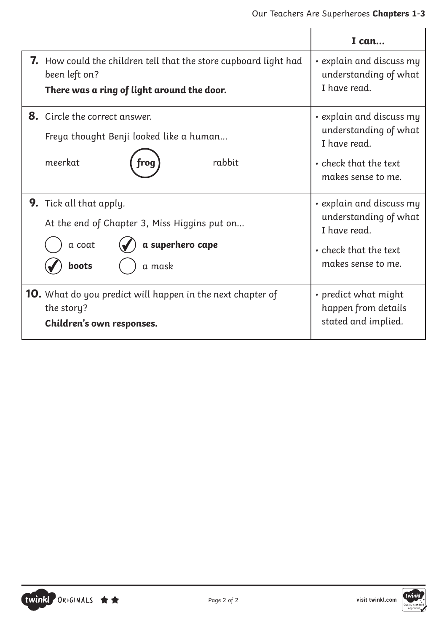|                                                                                                                                        | I can                                                                                                                  |
|----------------------------------------------------------------------------------------------------------------------------------------|------------------------------------------------------------------------------------------------------------------------|
| <b>7.</b> How could the children tell that the store cupboard light had<br>been left on?<br>There was a ring of light around the door. | • explain and discuss my<br>understanding of what<br>I have read.                                                      |
| 8. Circle the correct answer.<br>Freya thought Benji looked like a human<br>meerkat<br>rabbit                                          | $\cdot$ explain and discuss my<br>understanding of what<br>I have read.<br>• check that the text<br>makes sense to me. |
| <b>9.</b> Tick all that apply.<br>At the end of Chapter 3, Miss Higgins put on<br>a superhero cape<br>a coat<br>boots<br>a mask        | • explain and discuss my<br>understanding of what<br>I have read.<br>• check that the text<br>makes sense to me.       |
| <b>10.</b> What do you predict will happen in the next chapter of<br>the story?<br>Children's own responses.                           | • predict what might<br>happen from details<br>stated and implied.                                                     |



TWINKI ORIGINALS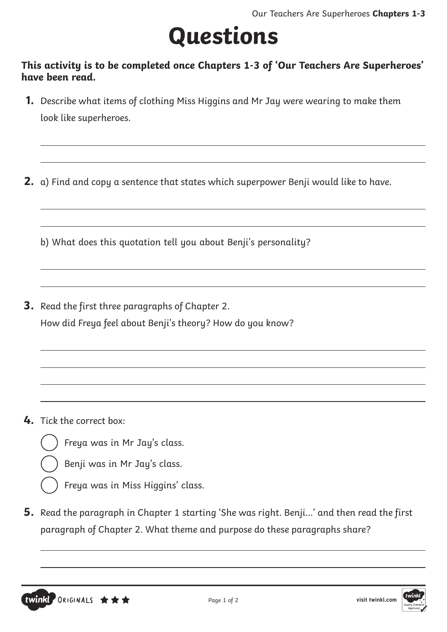# **Questions**

#### **This activity is to be completed once Chapters 1-3 of 'Our Teachers Are Superheroes' have been read.**

**1.** Describe what items of clothing Miss Higgins and Mr Jay were wearing to make them look like superheroes.

**2.** a) Find and copy a sentence that states which superpower Benji would like to have.

b) What does this quotation tell you about Benji's personality?

**3.** Read the first three paragraphs of Chapter 2. How did Freya feel about Benji's theory? How do you know?

**4.** Tick the correct box:

twinkl ORIGINALS  $\star \star \star$ 

- Freya was in Mr Jay's class.
- Benji was in Mr Jay's class.
- Freya was in Miss Higgins' class.
- **5.** Read the paragraph in Chapter 1 starting 'She was right. Benji…' and then read the first paragraph of Chapter 2. What theme and purpose do these paragraphs share?

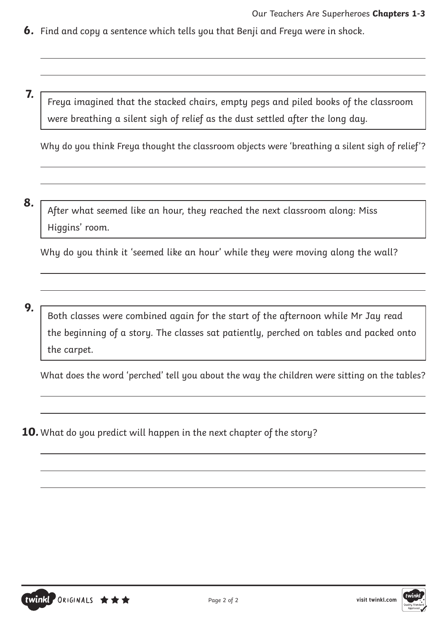- **6.** Find and copy a sentence which tells you that Benji and Freya were in shock.
- **7.** Freya imagined that the stacked chairs, empty pegs and piled books of the classroom were breathing a silent sigh of relief as the dust settled after the long day.

Why do you think Freya thought the classroom objects were 'breathing a silent sigh of relief'?

**8.** After what seemed like an hour, they reached the next classroom along: Miss Higgins' room.

Why do you think it 'seemed like an hour' while they were moving along the wall?

**9.** Both classes were combined again for the start of the afternoon while Mr Jay read the beginning of a story. The classes sat patiently, perched on tables and packed onto the carpet.

What does the word 'perched' tell you about the way the children were sitting on the tables?

**10.** What do you predict will happen in the next chapter of the story?

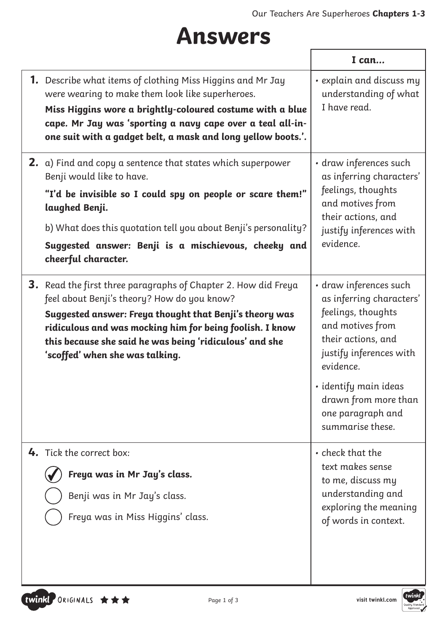## **Answers**

|                                                                                                                                                                                                                                                                                                                                           | I can                                                                                                                                                                                                                                                |
|-------------------------------------------------------------------------------------------------------------------------------------------------------------------------------------------------------------------------------------------------------------------------------------------------------------------------------------------|------------------------------------------------------------------------------------------------------------------------------------------------------------------------------------------------------------------------------------------------------|
| <b>1.</b> Describe what items of clothing Miss Higgins and Mr Jay<br>were wearing to make them look like superheroes.<br>Miss Higgins wore a brightly-coloured costume with a blue<br>cape. Mr Jay was 'sporting a navy cape over a teal all-in-<br>one suit with a gadget belt, a mask and long yellow boots.'.                          | • explain and discuss my<br>understanding of what<br>I have read.                                                                                                                                                                                    |
| <b>2.</b> a) Find and copy a sentence that states which superpower<br>Benji would like to have.<br>"I'd be invisible so I could spy on people or scare them!"<br>laughed Benji.<br>b) What does this quotation tell you about Benji's personality?<br>Suggested answer: Benji is a mischievous, cheeky and<br>cheerful character.         | · draw inferences such<br>as inferring characters'<br>feelings, thoughts<br>and motives from<br>their actions, and<br>justify inferences with<br>evidence.                                                                                           |
| <b>3.</b> Read the first three paragraphs of Chapter 2. How did Freya<br>feel about Benji's theory? How do you know?<br>Suggested answer: Freya thought that Benji's theory was<br>ridiculous and was mocking him for being foolish. I know<br>this because she said he was being 'ridiculous' and she<br>'scoffed' when she was talking. | · draw inferences such<br>as inferring characters'<br>feelings, thoughts<br>and motives from<br>their actions, and<br>justify inferences with<br>evidence.<br>· identify main ideas<br>drawn from more than<br>one paragraph and<br>summarise these. |
| 4. Tick the correct box:<br>Freya was in Mr Jay's class.<br>Benji was in Mr Jay's class.<br>Freya was in Miss Higgins' class.                                                                                                                                                                                                             | • check that the<br>text makes sense<br>to me, discuss my<br>understanding and<br>exploring the meaning<br>of words in context.                                                                                                                      |

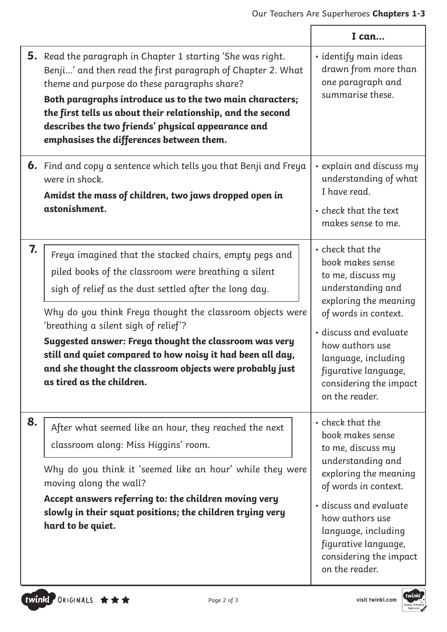×

|    |                                                                                                                                                                                                                                                                                                                                                                                                                                                                                                | I can                                                                                                                                                                                                                                                                         |
|----|------------------------------------------------------------------------------------------------------------------------------------------------------------------------------------------------------------------------------------------------------------------------------------------------------------------------------------------------------------------------------------------------------------------------------------------------------------------------------------------------|-------------------------------------------------------------------------------------------------------------------------------------------------------------------------------------------------------------------------------------------------------------------------------|
|    | <b>5.</b> Read the paragraph in Chapter 1 starting 'She was right.<br>Benji' and then read the first paragraph of Chapter 2. What<br>theme and purpose do these paragraphs share?<br>Both paragraphs introduce us to the two main characters;<br>the first tells us about their relationship, and the second<br>describes the two friends' physical appearance and<br>emphasises the differences between them.                                                                                 | · identify main ideas<br>drawn from more than<br>one paragraph and<br>summarise these.                                                                                                                                                                                        |
|    | <b>6.</b> Find and copy a sentence which tells you that Benji and Freya<br>were in shock.<br>Amidst the mass of children, two jaws dropped open in<br>astonishment.                                                                                                                                                                                                                                                                                                                            | • explain and discuss my<br>understanding of what<br>I have read.<br>• check that the text<br>makes sense to me.                                                                                                                                                              |
| 7. | Freya imagined that the stacked chairs, empty pegs and<br>piled books of the classroom were breathing a silent<br>sigh of relief as the dust settled after the long day.<br>Why do you think Freya thought the classroom objects were<br>'breathing a silent sigh of relief'?<br>Suggested answer: Freya thought the classroom was very<br>still and quiet compared to how noisy it had been all day,<br>and she thought the classroom objects were probably just<br>as tired as the children. | • check that the<br>book makes sense<br>to me, discuss my<br>understanding and<br>exploring the meaning<br>of words in context.<br>· discuss and evaluate<br>how authors use<br>language, including<br>figurative language,<br>considering the impact<br>on the reader.       |
| 8. | After what seemed like an hour, they reached the next<br>classroom along: Miss Higgins' room.<br>Why do you think it 'seemed like an hour' while they were<br>moving along the wall?<br>Accept answers referring to: the children moving very<br>slowly in their squat positions; the children trying very<br>hard to be quiet.                                                                                                                                                                | $\cdot$ check that the<br>book makes sense<br>to me, discuss my<br>understanding and<br>exploring the meaning<br>of words in context.<br>· discuss and evaluate<br>how authors use<br>language, including<br>figurative language,<br>considering the impact<br>on the reader. |